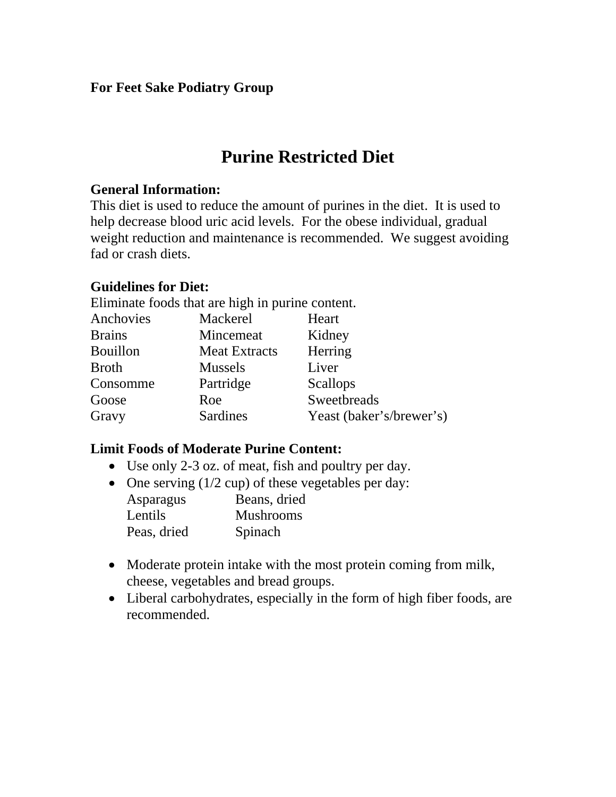## **For Feet Sake Podiatry Group**

# **Purine Restricted Diet**

### **General Information:**

This diet is used to reduce the amount of purines in the diet. It is used to help decrease blood uric acid levels. For the obese individual, gradual weight reduction and maintenance is recommended. We suggest avoiding fad or crash diets.

### **Guidelines for Diet:**

Eliminate foods that are high in purine content.

| Mackerel             | Heart                    |
|----------------------|--------------------------|
| Mincemeat            | Kidney                   |
| <b>Meat Extracts</b> | Herring                  |
| <b>Mussels</b>       | Liver                    |
| Partridge            | <b>Scallops</b>          |
| Roe                  | Sweetbreads              |
| Sardines             | Yeast (baker's/brewer's) |
|                      |                          |

### **Limit Foods of Moderate Purine Content:**

- Use only 2-3 oz. of meat, fish and poultry per day.
- One serving (1/2 cup) of these vegetables per day:

| Asparagus   | Beans, dried     |
|-------------|------------------|
| Lentils     | <b>Mushrooms</b> |
| Peas, dried | Spinach          |

- Moderate protein intake with the most protein coming from milk, cheese, vegetables and bread groups.
- Liberal carbohydrates, especially in the form of high fiber foods, are recommended.